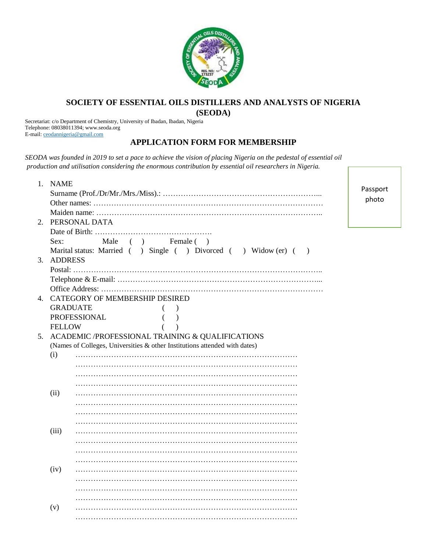

## **SOCIETY OF ESSENTIAL OILS DISTILLERS AND ANALYSTS OF NIGERIA**

**(SEODA)**

Secretariat: c/o Department of Chemistry, University of Ibadan, Ibadan, Nigeria Telephone: 08038011394; www.seoda.org E-mail[: ceodannigeria@gmail.com](mailto:ceodannigeria@gmail.com)

## **APPLICATION FORM FOR MEMBERSHIP**

*SEODA was founded in 2019 to set a pace to achieve the vision of placing Nigeria on the pedestal of essential oil production and utilisation considering the enormous contribution by essential oil researchers in Nigeria.*

|                | 1. NAME                                          |                                                                                |  |  |  |
|----------------|--------------------------------------------------|--------------------------------------------------------------------------------|--|--|--|
|                |                                                  |                                                                                |  |  |  |
|                |                                                  |                                                                                |  |  |  |
|                |                                                  |                                                                                |  |  |  |
| 2.             | PERSONAL DATA                                    |                                                                                |  |  |  |
|                |                                                  |                                                                                |  |  |  |
|                | Sex:                                             | Male<br>(<br>Female ()                                                         |  |  |  |
|                |                                                  | Marital status: Married () Single () Divorced () Widow (er) (<br>$\rightarrow$ |  |  |  |
| 3.             | <b>ADDRESS</b>                                   |                                                                                |  |  |  |
|                |                                                  |                                                                                |  |  |  |
|                |                                                  |                                                                                |  |  |  |
|                |                                                  |                                                                                |  |  |  |
| $\mathbf{4}$ . |                                                  | <b>CATEGORY OF MEMBERSHIP DESIRED</b>                                          |  |  |  |
|                | <b>GRADUATE</b>                                  |                                                                                |  |  |  |
|                | PROFESSIONAL                                     |                                                                                |  |  |  |
|                | <b>FELLOW</b>                                    |                                                                                |  |  |  |
| 5.             | ACADEMIC /PROFESSIONAL TRAINING & QUALIFICATIONS |                                                                                |  |  |  |
|                |                                                  | (Names of Colleges, Universities & other Institutions attended with dates)     |  |  |  |
|                | (i)                                              |                                                                                |  |  |  |
|                |                                                  |                                                                                |  |  |  |
|                |                                                  |                                                                                |  |  |  |
|                |                                                  |                                                                                |  |  |  |
|                | (ii)                                             |                                                                                |  |  |  |
|                |                                                  |                                                                                |  |  |  |
|                |                                                  |                                                                                |  |  |  |
|                |                                                  |                                                                                |  |  |  |
|                | (iii)                                            |                                                                                |  |  |  |
|                |                                                  |                                                                                |  |  |  |
|                |                                                  |                                                                                |  |  |  |
|                |                                                  |                                                                                |  |  |  |
|                | (iv)                                             |                                                                                |  |  |  |
|                |                                                  |                                                                                |  |  |  |
|                |                                                  |                                                                                |  |  |  |
|                |                                                  |                                                                                |  |  |  |
|                | (v)                                              |                                                                                |  |  |  |
|                |                                                  |                                                                                |  |  |  |
|                |                                                  |                                                                                |  |  |  |

Passport photo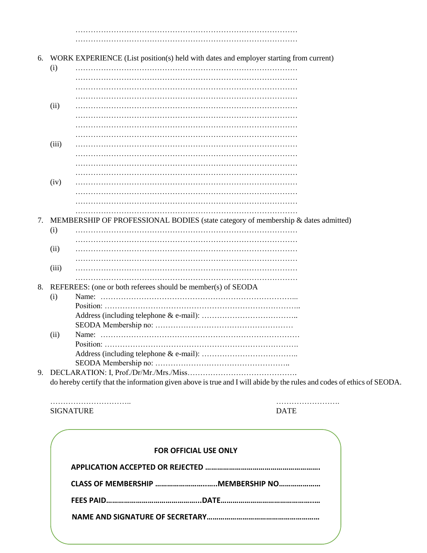…………………………………………………………………………… ……………………………………………………………………………

- 6. WORK EXPERIENCE (List position(s) held with dates and employer starting from current)
	- (i) …………………………………………………………………………… …………………………………………………………………………… …………………………………………………………………………… …………………………………………………………………………… (ii) ……………………………………………………………………………
	- …………………………………………………………………………… …………………………………………………………………………… …………………………………………………………………………… (iii) …………………………………………………………………………… …………………………………………………………………………… …………………………………………………………………………… ……………………………………………………………………………
	- (iv) …………………………………………………………………………… …………………………………………………………………………… …………………………………………………………………………… ……………………………………………………………………………
- 7. MEMBERSHIP OF PROFESSIONAL BODIES (state category of membership & dates admitted)
	- (i) …………………………………………………………………………… …………………………………………………………………………… (ii) ……………………………………………………………………………
	- ……………………………………………………………………………
	- (iii) …………………………………………………………………………… ……………………………………………………………………………

## 8. REFEREES: (one or both referees should be member(s) of SEODA

- (i) Name: …………………………………………………………………... Position: ………………………………………………………………….. Address (including telephone & e-mail): ……………………………….. SEODA Membership no: ……………………………………………… (ii) Name: …………………………………………………………………… Position: …………………………………………………………………. Address (including telephone & e-mail): ……………………………….. SEODA Membership no: ……………………………………………..
- 9. DECLARATION: I, Prof./Dr/Mr./Mrs./Miss……………………………………. do hereby certify that the information given above is true and I will abide by the rules and codes of ethics of SEODA.

………………………….. ……………………. SIGNATURE DATE

| <b>FOR OFFICIAL USE ONLY</b>      |  |
|-----------------------------------|--|
|                                   |  |
| CLASS OF MEMBERSHIP MEMBERSHIP NO |  |
|                                   |  |
|                                   |  |
|                                   |  |